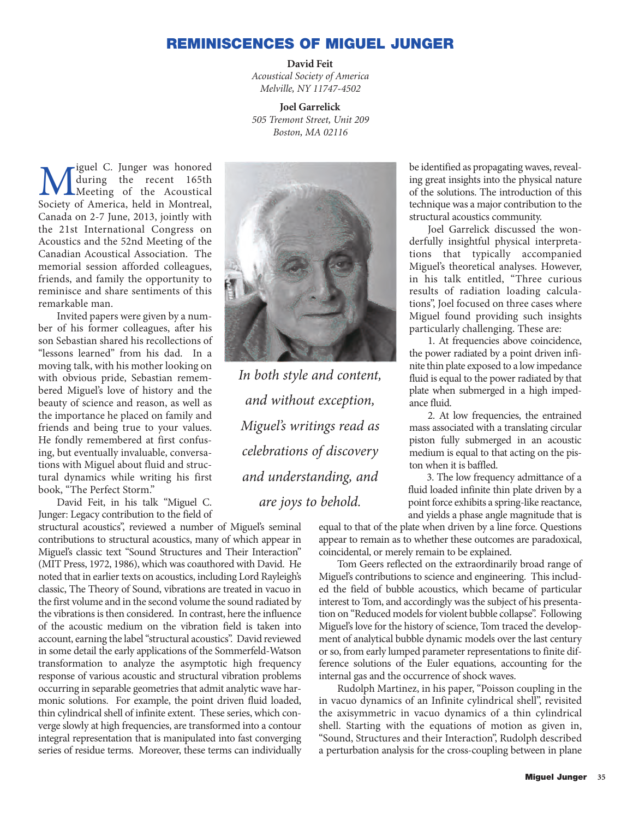## **REMINISCENCES OF MIGUEL JUNGER**

## **David Feit**

*Acoustical Society of America Melville, NY 11747-4502*

**Joel Garrelick** *505 Tremont Street, Unit 209 Boston, MA 02116*

Miguel C. Junger was honored<br>
Muring the recent 165th<br>
Society of America held in Montreal during the recent 165th Society of America, held in Montreal, Canada on 2-7 June, 2013, jointly with the 21st International Congress on Acoustics and the 52nd Meeting of the Canadian Acoustical Association. The memorial session afforded colleagues, friends, and family the opportunity to reminisce and share sentiments of this remarkable man.

Invited papers were given by a number of his former colleagues, after his son Sebastian shared his recollections of "lessons learned" from his dad. In a moving talk, with his mother looking on with obvious pride, Sebastian remembered Miguel's love of history and the beauty of science and reason, as well as the importance he placed on family and friends and being true to your values. He fondly remembered at first confusing, but eventually invaluable, conversations with Miguel about fluid and structural dynamics while writing his first book, "The Perfect Storm."

David Feit, in his talk "Miguel C. Junger: Legacy contribution to the field of

structural acoustics", reviewed a number of Miguel's seminal contributions to structural acoustics, many of which appear in Miguel's classic text "Sound Structures and Their Interaction" (MIT Press, 1972, 1986), which was coauthored with David. He noted that in earlier texts on acoustics, including Lord Rayleigh's classic, The Theory of Sound, vibrations are treated in vacuo in the first volume and in the second volume the sound radiated by the vibrations is then considered. In contrast, here the influence of the acoustic medium on the vibration field is taken into account, earning the label "structural acoustics". David reviewed in some detail the early applications of the Sommerfeld-Watson transformation to analyze the asymptotic high frequency response of various acoustic and structural vibration problems occurring in separable geometries that admit analytic wave harmonic solutions. For example, the point driven fluid loaded, thin cylindrical shell of infinite extent. These series, which converge slowly at high frequencies, are transformed into a contour integral representation that is manipulated into fast converging series of residue terms. Moreover, these terms can individually



*In both style and content, and without exception, Miguel's writings read as celebrations of discovery and understanding, and are joys to behold.* 

be identified as propagating waves, revealing great insights into the physical nature of the solutions. The introduction of this technique was a major contribution to the structural acoustics community.

Joel Garrelick discussed the wonderfully insightful physical interpretations that typically accompanied Miguel's theoretical analyses. However, in his talk entitled, "Three curious results of radiation loading calculations", Joel focused on three cases where Miguel found providing such insights particularly challenging. These are:

1. At frequencies above coincidence, the power radiated by a point driven infinite thin plate exposed to a low impedance fluid is equal to the power radiated by that plate when submerged in a high impedance fluid.

2. At low frequencies, the entrained mass associated with a translating circular piston fully submerged in an acoustic medium is equal to that acting on the piston when it is baffled.

3. The low frequency admittance of a fluid loaded infinite thin plate driven by a point force exhibits a spring-like reactance, and yields a phase angle magnitude that is

equal to that of the plate when driven by a line force. Questions appear to remain as to whether these outcomes are paradoxical, coincidental, or merely remain to be explained.

Tom Geers reflected on the extraordinarily broad range of Miguel's contributions to science and engineering. This included the field of bubble acoustics, which became of particular interest to Tom, and accordingly was the subject of his presentation on "Reduced models for violent bubble collapse". Following Miguel's love for the history of science, Tom traced the development of analytical bubble dynamic models over the last century or so, from early lumped parameter representations to finite difference solutions of the Euler equations, accounting for the internal gas and the occurrence of shock waves.

Rudolph Martinez, in his paper, "Poisson coupling in the in vacuo dynamics of an Infinite cylindrical shell", revisited the axisymmetric in vacuo dynamics of a thin cylindrical shell. Starting with the equations of motion as given in, "Sound, Structures and their Interaction", Rudolph described a perturbation analysis for the cross-coupling between in plane